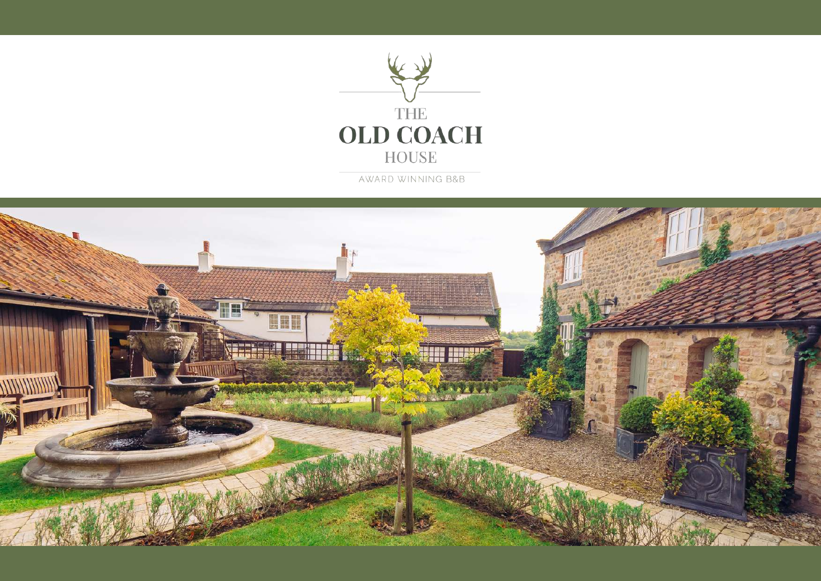

AWARD WINNING B&B

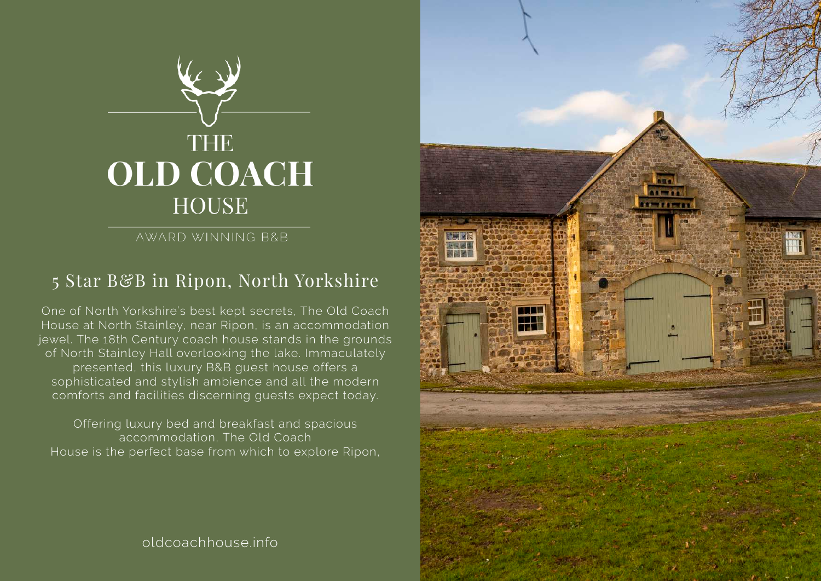

AWARD WINNING B&B

### 5 Star B&B in Ripon, North Yorkshire

One of North Yorkshire's best kept secrets, The Old Coach House at North Stainley, near Ripon, is an accommodation jewel. The 18th Century coach house stands in the grounds of North Stainley Hall overlooking the lake. Immaculately presented, this luxury B&B guest house offers a sophisticated and stylish ambience and all the modern comforts and facilities discerning guests expect today.

Offering luxury bed and breakfast and spacious accommodation, The Old Coach House is the perfect base from which to explore Ripon,



oldcoachhouse.info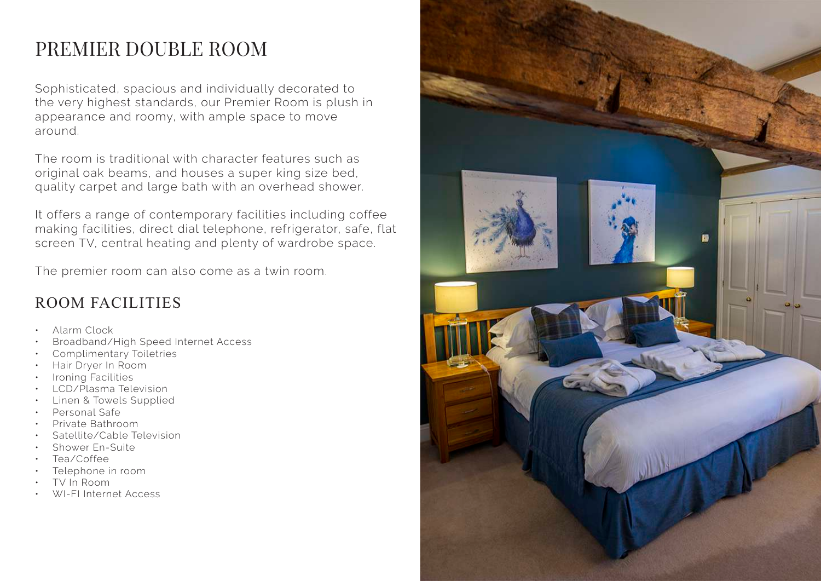# PREMIER DOUBLE ROOM

Sophisticated, spacious and individually decorated to the very highest standards, our Premier Room is plush in appearance and roomy, with ample space to move around.

The room is traditional with character features such as original oak beams, and houses a super king size bed, quality carpet and large bath with an overhead shower.

It offers a range of contemporary facilities including coffee making facilities, direct dial telephone, refrigerator, safe, flat screen TV, central heating and plenty of wardrobe space.

The premier room can also come as a twin room.

- Alarm Clock
- Broadband/High Speed Internet Access
- Complimentary Toiletries
- Hair Dryer In Room
- Ironing Facilities
- LCD/Plasma Television
- Linen & Towels Supplied
- Personal Safe
- Private Bathroom
- Satellite/Cable Television
- Shower En-Suite
- Tea/Coffee
- Telephone in room
- TV In Room
- WI-FI Internet Access

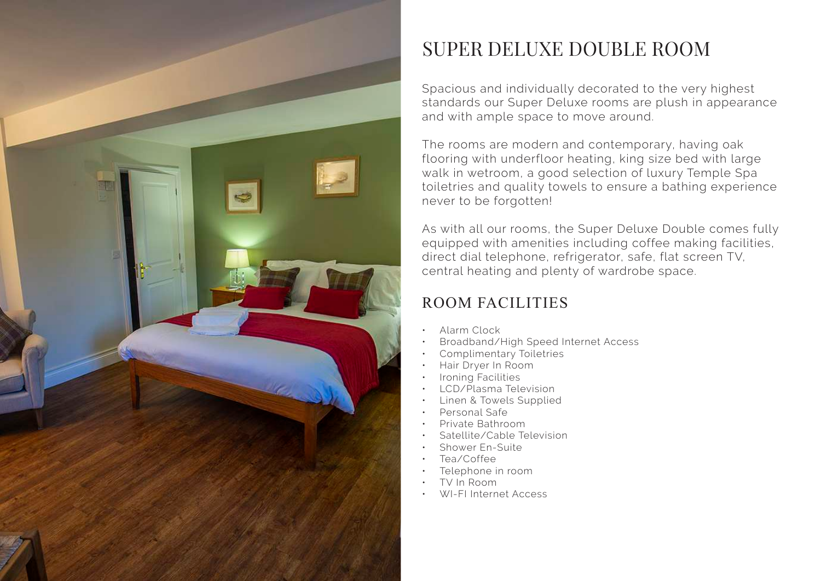

# SUPER DELUXE DOUBLE ROOM

Spacious and individually decorated to the very highest standards our Super Deluxe rooms are plush in appearance and with ample space to move around.

The rooms are modern and contemporary, having oak flooring with underfloor heating, king size bed with large walk in wetroom, a good selection of luxury Temple Spa toiletries and quality towels to ensure a bathing experience never to be forgotten!

As with all our rooms, the Super Deluxe Double comes fully equipped with amenities including coffee making facilities, direct dial telephone, refrigerator, safe, flat screen TV, central heating and plenty of wardrobe space.

- Alarm Clock
- Broadband/High Speed Internet Access
- Complimentary Toiletries
- Hair Dryer In Room
- Ironing Facilities
- LCD/Plasma Television
- Linen & Towels Supplied
- Personal Safe
- Private Bathroom
- Satellite/Cable Television
- Shower En-Suite
- Tea/Coffee
- Telephone in room
- TV In Room
- WI-FI Internet Access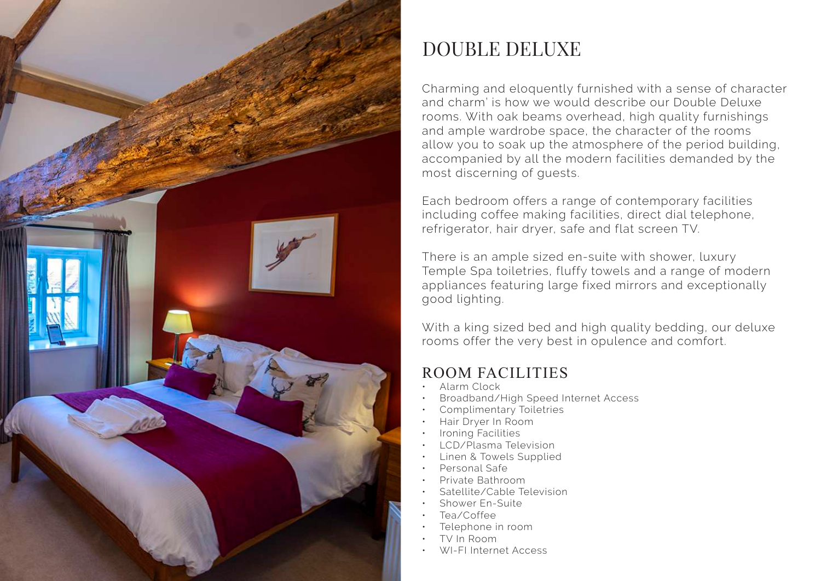![](_page_4_Picture_0.jpeg)

# DOUBLE DELUXE

Charming and eloquently furnished with a sense of character and charm' is how we would describe our Double Deluxe rooms. With oak beams overhead, high quality furnishings and ample wardrobe space, the character of the rooms allow you to soak up the atmosphere of the period building, accompanied by all the modern facilities demanded by the most discerning of guests.

Each bedroom offers a range of contemporary facilities including coffee making facilities, direct dial telephone, refrigerator, hair dryer, safe and flat screen TV.

There is an ample sized en-suite with shower, luxury Temple Spa toiletries, fluffy towels and a range of modern appliances featuring large fixed mirrors and exceptionally good lighting.

With a king sized bed and high quality bedding, our deluxe rooms offer the very best in opulence and comfort.

- Alarm Clock
- Broadband/High Speed Internet Access
- Complimentary Toiletries
- Hair Dryer In Room
- Ironing Facilities
- LCD/Plasma Television
- Linen & Towels Supplied
- Personal Safe
- Private Bathroom
- Satellite/Cable Television
- Shower En-Suite
- Tea/Coffee
- Telephone in room
- TV In Room
- WI-FI Internet Access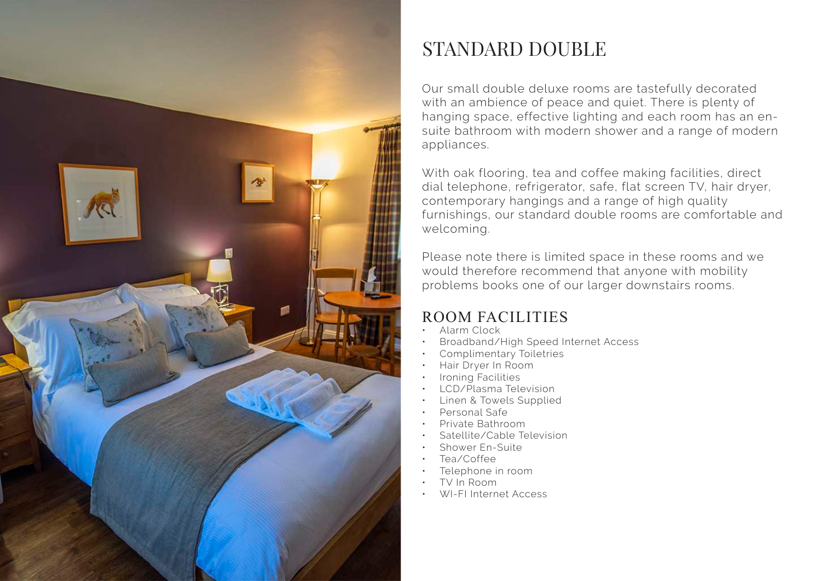![](_page_5_Picture_0.jpeg)

# STANDARD DOUBLE

Our small double deluxe rooms are tastefully decorated with an ambience of peace and quiet. There is plenty of hanging space, effective lighting and each room has an ensuite bathroom with modern shower and a range of modern appliances.

With oak flooring, tea and coffee making facilities, direct dial telephone, refrigerator, safe, flat screen TV, hair dryer, contemporary hangings and a range of high quality furnishings, our standard double rooms are comfortable and welcoming.

Please note there is limited space in these rooms and we would therefore recommend that anyone with mobility problems books one of our larger downstairs rooms.

- Alarm Clock
- Broadband/High Speed Internet Access
- Complimentary Toiletries
- Hair Dryer In Room
- Ironing Facilities
- LCD/Plasma Television
- Linen & Towels Supplied
- Personal Safe
- Private Bathroom
- Satellite/Cable Television
- Shower En-Suite
- Tea/Coffee
- Telephone in room
- TV In Room
- WI-FI Internet Access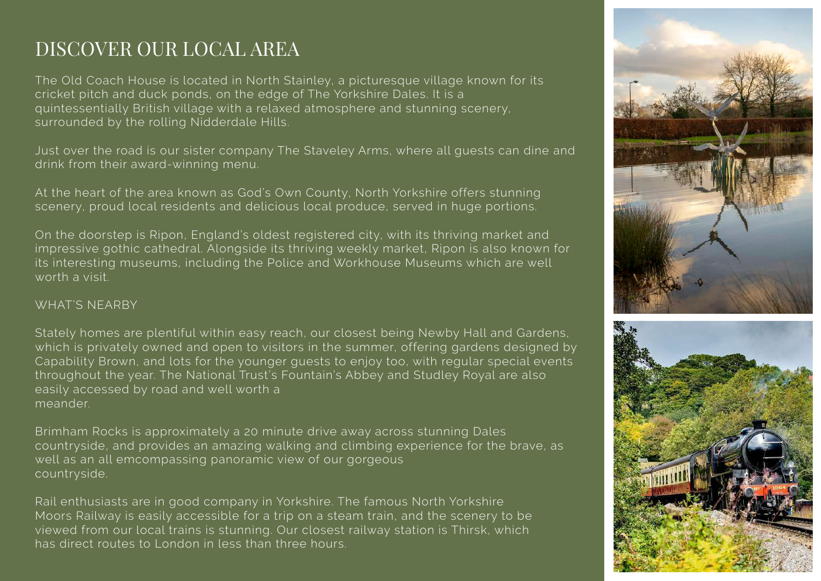## DISCOVER OUR LOCAL AREA

The Old Coach House is located in North Stainley, a picturesque village known for its cricket pitch and duck ponds, on the edge of The Yorkshire Dales. It is a quintessentially British village with a relaxed atmosphere and stunning scenery, surrounded by the rolling Nidderdale Hills.

Just over the road is our sister company The Staveley Arms, where all guests can dine and drink from their award-winning menu.

At the heart of the area known as God's Own County, North Yorkshire offers stunning scenery, proud local residents and delicious local produce, served in huge portions.

On the doorstep is Ripon, England's oldest registered city, with its thriving market and impressive gothic cathedral. Alongside its thriving weekly market, Ripon is also known for its interesting museums, including the Police and Workhouse Museums which are well worth a visit.

#### WHAT'S NEARBY

Stately homes are plentiful within easy reach, our closest being Newby Hall and Gardens, which is privately owned and open to visitors in the summer, offering gardens designed by Capability Brown, and lots for the younger guests to enjoy too, with regular special events throughout the year. The National Trust's Fountain's Abbey and Studley Royal are also easily accessed by road and well worth a meander.

Brimham Rocks is approximately a 20 minute drive away across stunning Dales countryside, and provides an amazing walking and climbing experience for the brave, as well as an all emcompassing panoramic view of our gorgeous countryside.

Rail enthusiasts are in good company in Yorkshire. The famous North Yorkshire Moors Railway is easily accessible for a trip on a steam train, and the scenery to be viewed from our local trains is stunning. Our closest railway station is Thirsk, which has direct routes to London in less than three hours.

![](_page_6_Picture_9.jpeg)

![](_page_6_Picture_10.jpeg)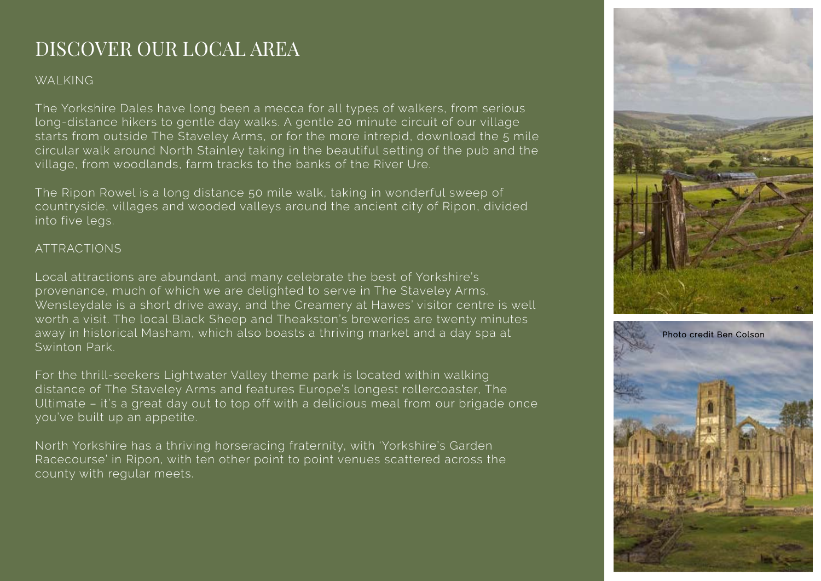## DISCOVER OUR LOCAL AREA

#### WAI KING

The Yorkshire Dales have long been a mecca for all types of walkers, from serious long-distance hikers to gentle day walks. A gentle 20 minute circuit of our village starts from outside The Staveley Arms, or for the more intrepid, download the 5 mile circular walk around North Stainley taking in the beautiful setting of the pub and the village, from woodlands, farm tracks to the banks of the River Ure.

The Ripon Rowel is a long distance 50 mile walk, taking in wonderful sweep of countryside, villages and wooded valleys around the ancient city of Ripon, divided into five legs.

#### ATTRACTIONS

Local attractions are abundant, and many celebrate the best of Yorkshire's provenance, much of which we are delighted to serve in The Staveley Arms. Wensleydale is a short drive away, and the Creamery at Hawes' visitor centre is well worth a visit. The local Black Sheep and Theakston's breweries are twenty minutes away in historical Masham, which also boasts a thriving market and a day spa at Swinton Park.

For the thrill-seekers Lightwater Valley theme park is located within walking distance of The Staveley Arms and features Europe's longest rollercoaster, The Ultimate – it's a great day out to top off with a delicious meal from our brigade once you've built up an appetite.

North Yorkshire has a thriving horseracing fraternity, with 'Yorkshire's Garden Racecourse' in Ripon, with ten other point to point venues scattered across the county with regular meets.

![](_page_7_Picture_8.jpeg)

![](_page_7_Picture_9.jpeg)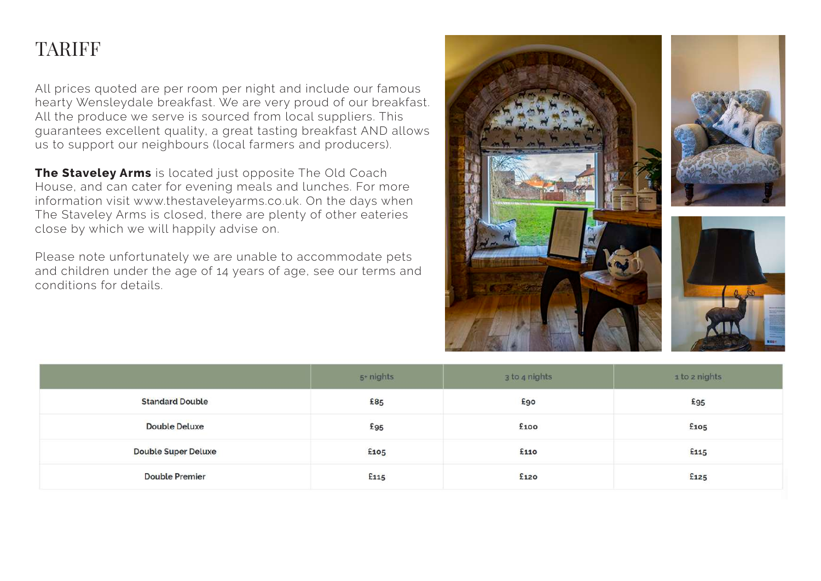## TARIFF

All prices quoted are per room per night and include our famous hearty Wensleydale breakfast. We are very proud of our breakfast. All the produce we serve is sourced from local suppliers. This guarantees excellent quality, a great tasting breakfast AND allows us to support our neighbours (local farmers and producers).

**The Staveley Arms** is located just opposite The Old Coach House, and can cater for evening meals and lunches. For more information visit www.thestaveleyarms.co.uk. On the days when The Staveley Arms is closed, there are plenty of other eateries close by which we will happily advise on.

Please note unfortunately we are unable to accommodate pets and children under the age of 14 years of age, see our terms and conditions for details.

![](_page_8_Picture_4.jpeg)

![](_page_8_Picture_5.jpeg)

|                            | 5 <sup>+</sup> nights | 3 to 4 nights | 1 to 2 nights |
|----------------------------|-----------------------|---------------|---------------|
| <b>Standard Double</b>     | £85                   | £90           | £95           |
| <b>Double Deluxe</b>       | £95                   | £100          | £105          |
| <b>Double Super Deluxe</b> | £105                  | £110          | £115          |
| <b>Double Premier</b>      | £115                  | £120          | £125          |